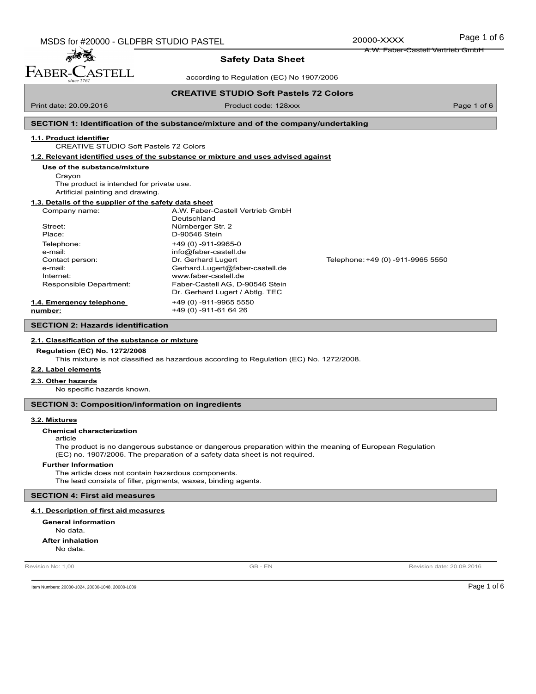| MSDS for #20000 - GLDFBR STUDIO PASTEL | 20000-XXXX | Page 1 of 6 |
|----------------------------------------|------------|-------------|
|----------------------------------------|------------|-------------|

**STELL** 

**Safety Data Sheet**

according to Regulation (EC) No 1907/2006

### **CREATIVE STUDIO Soft Pastels 72 Colors**

Print date: 20.09.2016 **Product code: 128xxx** Page 1 of 6

FABER-

# **SECTION 1: Identification of the substance/mixture and of the company/undertaking**

# **1.1. Product identifier**

CREATIVE STUDIO Soft Pastels 72 Colors

**1.2. Relevant identified uses of the substance or mixture and uses advised against**

#### **Use of the substance/mixture**

Crayon The product is intended for private use. Artificial painting and drawing.

## **1.3. Details of the supplier of the safety data sheet**

| Company name:            | A.W. Faber-Castell Vertrieb GmbH |                                   |
|--------------------------|----------------------------------|-----------------------------------|
|                          | Deutschland                      |                                   |
| Street:                  | Nürnberger Str. 2                |                                   |
| Place:                   | D-90546 Stein                    |                                   |
| Telephone:               | $+49(0) -911 - 9965 - 0$         |                                   |
| e-mail:                  | info@faber-castell.de            |                                   |
| Contact person:          | Dr. Gerhard Lugert               | Telephone: +49 (0) -911-9965 5550 |
| e-mail:                  | Gerhard.Lugert@faber-castell.de  |                                   |
| Internet:                | www.faber-castell.de             |                                   |
| Responsible Department:  | Faber-Castell AG, D-90546 Stein  |                                   |
|                          | Dr. Gerhard Lugert / Abtlg. TEC  |                                   |
| 1.4. Emergency telephone | +49 (0) -911-9965 5550           |                                   |
| number:                  | +49 (0) -911-61 64 26            |                                   |
|                          |                                  |                                   |

#### **SECTION 2: Hazards identification**

#### **2.1. Classification of the substance or mixture**

### **Regulation (EC) No. 1272/2008**

This mixture is not classified as hazardous according to Regulation (EC) No. 1272/2008.

# **2.2. Label elements**

#### **2.3. Other hazards**

No specific hazards known.

### **SECTION 3: Composition/information on ingredients**

#### **3.2. Mixtures**

**Chemical characterization**

### article

The product is no dangerous substance or dangerous preparation within the meaning of European Regulation (EC) no. 1907/2006. The preparation of a safety data sheet is not required.

#### **Further Information**

The article does not contain hazardous components. The lead consists of filler, pigments, waxes, binding agents.

## **SECTION 4: First aid measures**

### **4.1. Description of first aid measures**

No data. **General information** No data. **After inhalation**

Revision No: 1,00 **CB** - EN Revision date: 20.09.2016

Item Numbers: 20000-1024, 20000-1048, 20000-1009 Page 1 of 6

A.W. Faber-Castell Vertrieb GmbH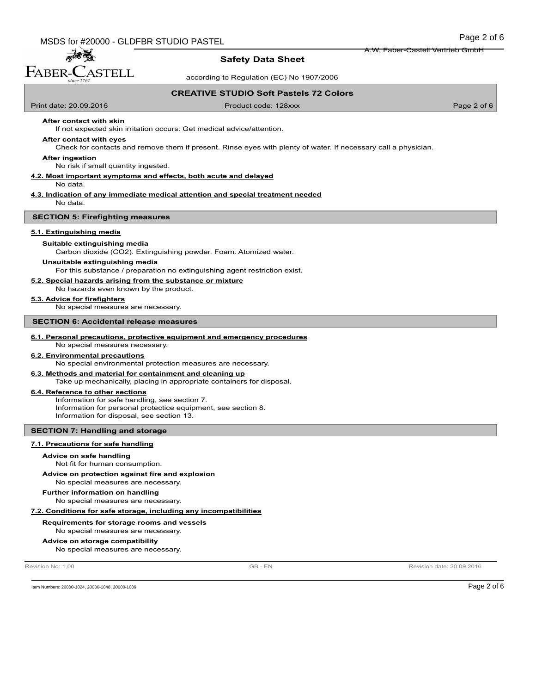# **Safety Data Sheet**

according to Regulation (EC) No 1907/2006

### **CREATIVE STUDIO Soft Pastels 72 Colors**

Print date: 20.09.2016 **Product code: 128xxx** Page 2 of 6

# **After contact with skin**

志義 FABER-CASTELL

If not expected skin irritation occurs: Get medical advice/attention.

#### **After contact with eyes**

Check for contacts and remove them if present. Rinse eyes with plenty of water. If necessary call a physician.

#### **After ingestion**

No risk if small quantity ingested.

# **4.2. Most important symptoms and effects, both acute and delayed**

No data.

#### **4.3. Indication of any immediate medical attention and special treatment needed** No data.

#### **SECTION 5: Firefighting measures**

#### **5.1. Extinguishing media**

#### **Suitable extinguishing media**

Carbon dioxide (CO2). Extinguishing powder. Foam. Atomized water.

#### **Unsuitable extinguishing media**

For this substance / preparation no extinguishing agent restriction exist.

#### **5.2. Special hazards arising from the substance or mixture**

No hazards even known by the product.

# **5.3. Advice for firefighters**

No special measures are necessary.

## **SECTION 6: Accidental release measures**

## **6.1. Personal precautions, protective equipment and emergency procedures**

No special measures necessary.

# **6.2. Environmental precautions**

No special environmental protection measures are necessary.

# **6.3. Methods and material for containment and cleaning up**

Take up mechanically, placing in appropriate containers for disposal.

#### **6.4. Reference to other sections**

Information for safe handling, see section 7. Information for personal protectice equipment, see section 8. Information for disposal, see section 13.

#### **SECTION 7: Handling and storage**

#### **7.1. Precautions for safe handling**

#### **Advice on safe handling**

Not fit for human consumption.

#### No special measures are necessary. **Advice on protection against fire and explosion**

# **Further information on handling**

No special measures are necessary.

#### **7.2. Conditions for safe storage, including any incompatibilities**

#### No special measures are necessary. **Requirements for storage rooms and vessels**

### **Advice on storage compatibility**

No special measures are necessary.

Revision No: 1,00 **CONFINITION CONSUMING A REVISION CONSUMING A REVISION CONSUMING A REVISION date: 20.09.2016** 

Item Numbers: 20000-1024, 20000-1048, 20000-1009 Page 2 of 6

A.W. Faber-Castell Vertrieb GmbH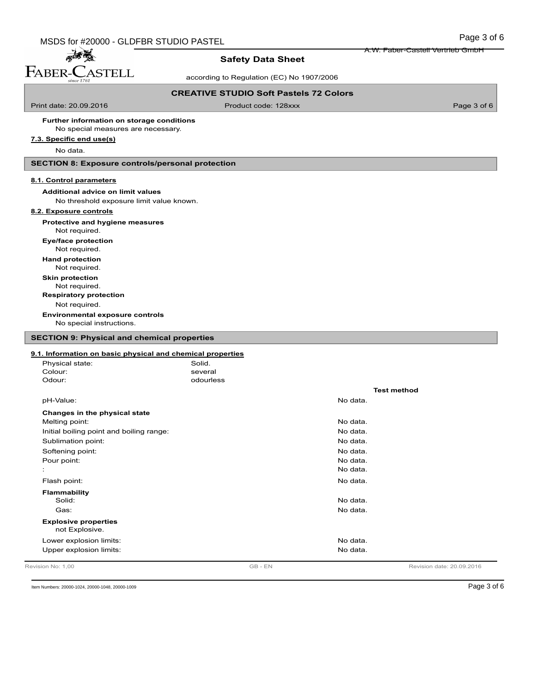**Safety Data Sheet**

according to Regulation (EC) No 1907/2006

### **CREATIVE STUDIO Soft Pastels 72 Colors**

Print date: 20.09.2016 **Product code: 128xxx** Page 3 of 6

A.W. Faber-Castell Vertrieb GmbH

### No special measures are necessary. **Further information on storage conditions**

**7.3. Specific end use(s)**

麻香醋 FABER-CASTELL

No data.

# **SECTION 8: Exposure controls/personal protection**

### **8.1. Control parameters**

**Additional advice on limit values**

# No threshold exposure limit value known.

# **8.2. Exposure controls**

**Protective and hygiene measures**

Not required.

Not required. **Eye/face protection**

**Hand protection**

Not required.

**Skin protection**

Not required.

Not required. **Respiratory protection**

No special instructions. **Environmental exposure controls**

# **SECTION 9: Physical and chemical properties**

## **9.1. Information on basic physical and chemical properties**

| Revision No: 1.00                             | GB-EN     |          | Revision date: 20.09.2016 |
|-----------------------------------------------|-----------|----------|---------------------------|
| Upper explosion limits:                       |           | No data. |                           |
| Lower explosion limits:                       |           | No data. |                           |
| <b>Explosive properties</b><br>not Explosive. |           |          |                           |
|                                               |           |          |                           |
| Gas:                                          |           | No data. |                           |
| <b>Flammability</b><br>Solid:                 |           | No data. |                           |
| Flash point:                                  |           | No data. |                           |
| $\mathbf{r}$                                  |           | No data. |                           |
| Pour point:                                   |           | No data. |                           |
| Softening point:                              |           | No data. |                           |
| Sublimation point:                            |           | No data. |                           |
| Initial boiling point and boiling range:      |           | No data. |                           |
| Melting point:                                |           | No data. |                           |
| Changes in the physical state                 |           |          |                           |
| pH-Value:                                     |           | No data. |                           |
|                                               |           |          | <b>Test method</b>        |
| Odour:                                        | odourless |          |                           |
| Colour:                                       | several   |          |                           |
| Physical state:                               | Solid.    |          |                           |

Item Numbers: 20000-1024, 20000-1048, 20000-1009 Page 3 of 6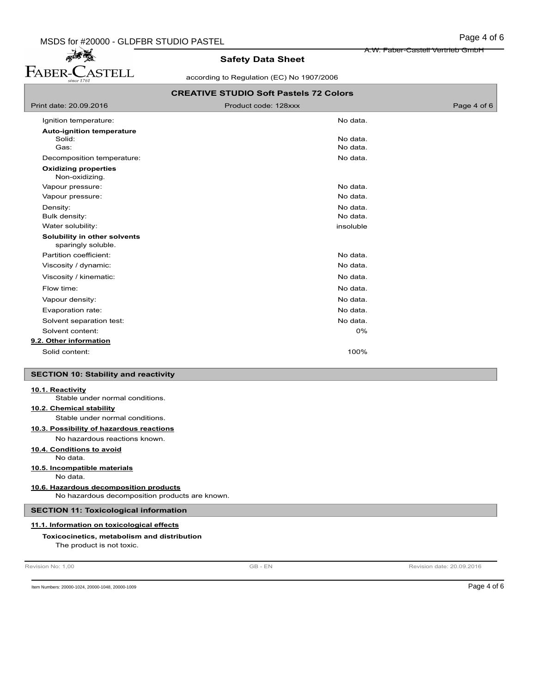FABER-CASTELL

# **Safety Data Sheet**

according to Regulation (EC) No 1907/2006

A.W. Faber-Castell Vertrieb GmbH

|                                                     | <b>CREATIVE STUDIO Soft Pastels 72 Colors</b> |             |
|-----------------------------------------------------|-----------------------------------------------|-------------|
| Print date: 20.09.2016                              | Product code: 128xxx                          | Page 4 of 6 |
| Ignition temperature:                               | No data.                                      |             |
| <b>Auto-ignition temperature</b>                    |                                               |             |
| Solid:                                              | No data.                                      |             |
| Gas:                                                | No data.                                      |             |
| Decomposition temperature:                          | No data.                                      |             |
| <b>Oxidizing properties</b><br>Non-oxidizing.       |                                               |             |
| Vapour pressure:                                    | No data.                                      |             |
| Vapour pressure:                                    | No data.                                      |             |
| Density:                                            | No data.                                      |             |
| Bulk density:                                       | No data.                                      |             |
| Water solubility:                                   | insoluble                                     |             |
| Solubility in other solvents<br>sparingly soluble.  |                                               |             |
| Partition coefficient:                              | No data.                                      |             |
| Viscosity / dynamic:                                | No data.                                      |             |
| Viscosity / kinematic:                              | No data.                                      |             |
| Flow time:                                          | No data.                                      |             |
| Vapour density:                                     | No data.                                      |             |
| Evaporation rate:                                   | No data.                                      |             |
| Solvent separation test:                            | No data.                                      |             |
| Solvent content:                                    | 0%                                            |             |
| 9.2. Other information                              |                                               |             |
| Solid content:                                      | 100%                                          |             |
|                                                     |                                               |             |
| <b>SECTION 10: Stability and reactivity</b>         |                                               |             |
| 10.1. Reactivity<br>Stable under normal conditions. |                                               |             |
| 10.2. Chemical stability                            |                                               |             |
| Stable under normal conditions.                     |                                               |             |
| 10.3. Possibility of hazardous reactions            |                                               |             |
| No hazardous reactions known.                       |                                               |             |
| 10.4. Conditions to avoid                           |                                               |             |
| No data.                                            |                                               |             |
| 10.5. Incompatible materials                        |                                               |             |

No data.

# **10.6. Hazardous decomposition products**

No hazardous decomposition products are known.

# **SECTION 11: Toxicological information**

# **11.1. Information on toxicological effects**

# **Toxicocinetics, metabolism and distribution**

The product is not toxic.

Revision No: 1,00 **CONFIDENTIAL CONSUMER CONSUMING THE REVISION OF A REVISION DATE: 20.09.2016 GB** - EN Revision date: 20.09.2016

Item Numbers: 20000-1024, 20000-1048, 20000-1009 Page 4 of 6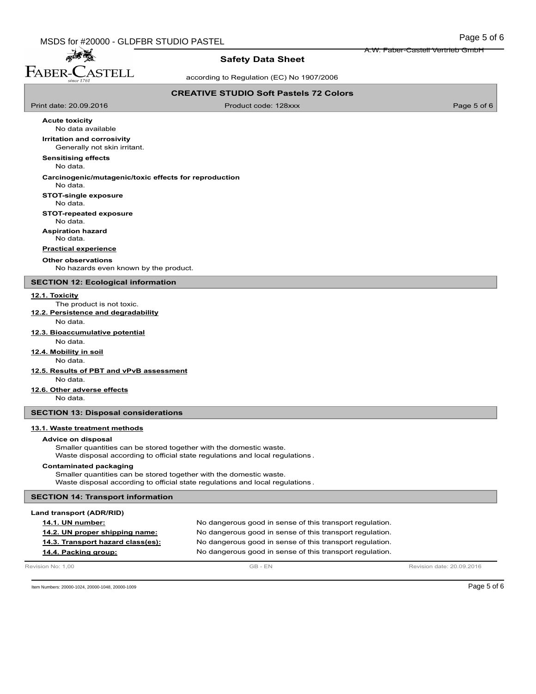**Safety Data Sheet**

according to Regulation (EC) No 1907/2006

### **CREATIVE STUDIO Soft Pastels 72 Colors**

Print date: 20.09.2016 **Product code: 128xxx** Page 5 of 6

A.W. Faber-Castell Vertrieb GmbH

**Acute toxicity**

高高 FABER-CASTELL

> No data available **Irritation and corrosivity**

Generally not skin irritant.

**Sensitising effects**

No data.

# **Carcinogenic/mutagenic/toxic effects for reproduction**

No data.

# **STOT-single exposure**

No data.

# **STOT-repeated exposure**

No data.

**Aspiration hazard**

No data.

# **Practical experience**

**Other observations**

No hazards even known by the product.

# **SECTION 12: Ecological information**

#### **12.1. Toxicity**

The product is not toxic.

**12.2. Persistence and degradability**

# No data.

**12.3. Bioaccumulative potential**

# No data.

**12.4. Mobility in soil**

# No data.

- **12.5. Results of PBT and vPvB assessment** No data.
- **12.6. Other adverse effects**

No data.

# **SECTION 13: Disposal considerations**

## **13.1. Waste treatment methods**

#### **Advice on disposal**

Smaller quantities can be stored together with the domestic waste. Waste disposal according to official state regulations and local regulations .

#### **Contaminated packaging**

Smaller quantities can be stored together with the domestic waste. Waste disposal according to official state regulations and local regulations .

### **SECTION 14: Transport information**

### **Land transport (ADR/RID)**

| <b>14.1. UN number:</b>           | No dangerous good in sense of this transport regulation. |
|-----------------------------------|----------------------------------------------------------|
| 14.2. UN proper shipping name:    | No dangerous good in sense of this transport regulation. |
| 14.3. Transport hazard class(es): | No dangerous good in sense of this transport regulation. |
| 14.4. Packing group:              | No dangerous good in sense of this transport regulation. |

Revision No: 1,00 **CB** - EN Revision date: 20.09.2016

Item Numbers: 20000-1024, 20000-1048, 20000-1009 Page 5 of 6